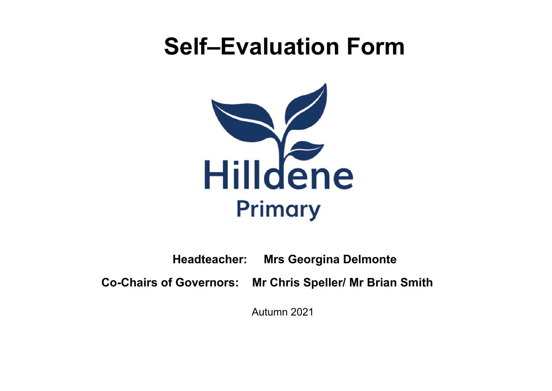# **Self–Evaluation Form**



**Headteacher: Mrs Georgina Delmonte**

**Co-Chairs of Governors: Mr Chris Speller/ Mr Brian Smith**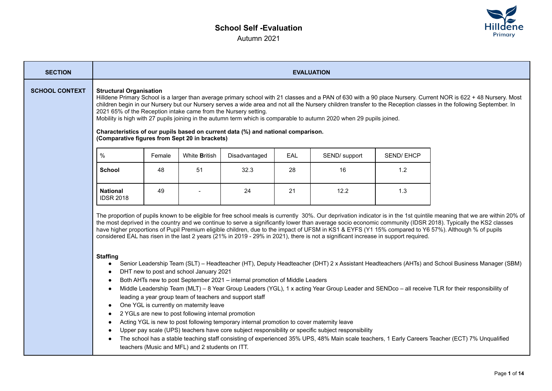# **School Self -Evaluation** Autumn 2021



| <b>SECTION</b>        | <b>EVALUATION</b>                                                                                                                                                                                                                                                                                                                                                                                                                                                                                                                                                                                                                                                                                                                                                                                                                                                                                                                                                                                                                                                                                                                                                                                                                                                                                                                                                                          |        |                      |               |     |               |                  |  |  |
|-----------------------|--------------------------------------------------------------------------------------------------------------------------------------------------------------------------------------------------------------------------------------------------------------------------------------------------------------------------------------------------------------------------------------------------------------------------------------------------------------------------------------------------------------------------------------------------------------------------------------------------------------------------------------------------------------------------------------------------------------------------------------------------------------------------------------------------------------------------------------------------------------------------------------------------------------------------------------------------------------------------------------------------------------------------------------------------------------------------------------------------------------------------------------------------------------------------------------------------------------------------------------------------------------------------------------------------------------------------------------------------------------------------------------------|--------|----------------------|---------------|-----|---------------|------------------|--|--|
| <b>SCHOOL CONTEXT</b> | <b>Structural Organisation</b><br>Hilldene Primary School is a larger than average primary school with 21 classes and a PAN of 630 with a 90 place Nursery. Current NOR is 622 + 48 Nursery. Most<br>children begin in our Nursery but our Nursery serves a wide area and not all the Nursery children transfer to the Reception classes in the following September. In<br>2021 65% of the Reception intake came from the Nursery setting.<br>Mobility is high with 27 pupils joining in the autumn term which is comparable to autumn 2020 when 29 pupils joined.<br>Characteristics of our pupils based on current data (%) and national comparison.<br>(Comparative figures from Sept 20 in brackets)                                                                                                                                                                                                                                                                                                                                                                                                                                                                                                                                                                                                                                                                                   |        |                      |               |     |               |                  |  |  |
|                       | $\%$                                                                                                                                                                                                                                                                                                                                                                                                                                                                                                                                                                                                                                                                                                                                                                                                                                                                                                                                                                                                                                                                                                                                                                                                                                                                                                                                                                                       | Female | White <b>British</b> | Disadvantaged | EAL | SEND/ support | <b>SEND/EHCP</b> |  |  |
|                       | <b>School</b>                                                                                                                                                                                                                                                                                                                                                                                                                                                                                                                                                                                                                                                                                                                                                                                                                                                                                                                                                                                                                                                                                                                                                                                                                                                                                                                                                                              | 48     | 51                   | 32.3          | 28  | 16            | 1.2              |  |  |
|                       | <b>National</b><br><b>IDSR 2018</b>                                                                                                                                                                                                                                                                                                                                                                                                                                                                                                                                                                                                                                                                                                                                                                                                                                                                                                                                                                                                                                                                                                                                                                                                                                                                                                                                                        | 49     |                      | 24            | 21  | 12.2          | 1.3              |  |  |
|                       | The proportion of pupils known to be eligible for free school meals is currently 30%. Our deprivation indicator is in the 1st quintile meaning that we are within 20% of<br>the most deprived in the country and we continue to serve a significantly lower than average socio economic community (IDSR 2018). Typically the KS2 classes<br>have higher proportions of Pupil Premium eligible children, due to the impact of UFSM in KS1 & EYFS (Y1 15% compared to Y6 57%). Although % of pupils<br>considered EAL has risen in the last 2 years (21% in 2019 - 29% in 2021), there is not a significant increase in support required.<br><b>Staffing</b><br>Senior Leadership Team (SLT) – Headteacher (HT), Deputy Headteacher (DHT) 2 x Assistant Headteachers (AHTs) and School Business Manager (SBM)<br>DHT new to post and school January 2021<br>Both AHTs new to post September 2021 - internal promotion of Middle Leaders<br>$\bullet$<br>Middle Leadership Team (MLT) - 8 Year Group Leaders (YGL), 1 x acting Year Group Leader and SENDco - all receive TLR for their responsibility of<br>$\bullet$<br>leading a year group team of teachers and support staff<br>One YGL is currently on maternity leave<br>$\bullet$<br>2 YGLs are new to post following internal promotion<br>Acting YGL is new to post following temporary internal promotion to cover maternity leave |        |                      |               |     |               |                  |  |  |

● The school has a stable teaching staff consisting of experienced 35% UPS, 48% Main scale teachers, 1 Early Careers Teacher (ECT) 7% Unqualified teachers (Music and MFL) and 2 students on ITT.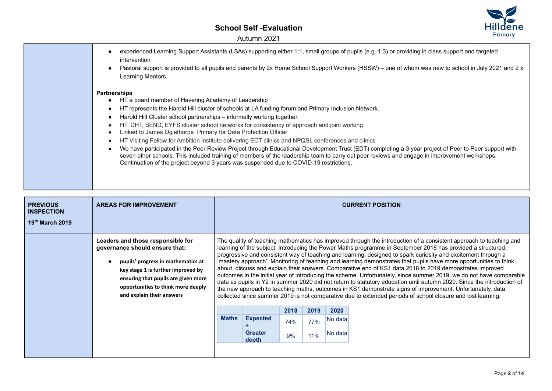

| experienced Learning Support Assistants (LSAs) supporting either 1:1, small groups of pupils (e.g. 1:3) or providing in class support and targeted<br>intervention<br>Pastoral support is provided to all pupils and parents by 2x Home School Support Workers (HSSW) – one of whom was new to school in July 2021 and 2 x<br>Learning Mentors.                                                                                                                                                                                                                                                                                                                                                                                                                                                                                                                                                                                    |
|------------------------------------------------------------------------------------------------------------------------------------------------------------------------------------------------------------------------------------------------------------------------------------------------------------------------------------------------------------------------------------------------------------------------------------------------------------------------------------------------------------------------------------------------------------------------------------------------------------------------------------------------------------------------------------------------------------------------------------------------------------------------------------------------------------------------------------------------------------------------------------------------------------------------------------|
| <b>Partnerships</b><br>HT a board member of Havering Academy of Leadership<br>HT represents the Harold Hill cluster of schools at LA funding forum and Primary Inclusion Network.<br>Harold Hill Cluster school partnerships - informally working together.<br>HT, DHT, SEND, EYFS cluster school networks for consistency of approach and joint working<br>Linked to James Oglethorpe Primary for Data Protection Officer<br>HT Visiting Fellow for Ambition institute delivering ECT clinics and NPQSL conferences and clinics<br>We have participated in the Peer Review Project through Educational Development Trust (EDT) completing a 3 year project of Peer to Peer support with<br>seven other schools. This included training of members of the leadership team to carry out peer reviews and engage in improvement workshops.<br>Continuation of the project beyond 3 years was suspended due to COVID-19 restrictions. |

| <b>PREVIOUS</b><br><b>INSPECTION</b><br>$19th$ March 2019 | <b>AREAS FOR IMPROVEMENT</b>                                                                                                                                                                                                                              |                                                                                                                                                                                                                                                                                                                                                                                                                                                                                                                                                                                                                                                                                                                                                                                                                                                                                                                                                                                                                                                                  |                         |      |      |         | <b>CURRENT POSITION</b> |
|-----------------------------------------------------------|-----------------------------------------------------------------------------------------------------------------------------------------------------------------------------------------------------------------------------------------------------------|------------------------------------------------------------------------------------------------------------------------------------------------------------------------------------------------------------------------------------------------------------------------------------------------------------------------------------------------------------------------------------------------------------------------------------------------------------------------------------------------------------------------------------------------------------------------------------------------------------------------------------------------------------------------------------------------------------------------------------------------------------------------------------------------------------------------------------------------------------------------------------------------------------------------------------------------------------------------------------------------------------------------------------------------------------------|-------------------------|------|------|---------|-------------------------|
|                                                           | Leaders and those responsible for<br>governance should ensure that:<br>pupils' progress in mathematics at<br>key stage 1 is further improved by<br>ensuring that pupils are given more<br>opportunities to think more deeply<br>and explain their answers | The quality of teaching mathematics has improved through the introduction of a consistent approach to teaching and<br>learning of the subject. Introducing the Power Maths programme in September 2018 has provided a structured,<br>progressive and consistent way of teaching and learning; designed to spark curiosity and excitement through a<br>'mastery approach'. Monitoring of teaching and learning demonstrates that pupils have more opportunities to think<br>about, discuss and explain their answers. Comparative end of KS1 data 2018 to 2019 demonstrates improved<br>outcomes in the initial year of introducing the scheme. Unfortunately, since summer 2019, we do not have comparable<br>data as pupils in Y2 in summer 2020 did not return to statutory education until autumn 2020. Since the introduction of<br>the new approach to teaching maths, outcomes in KS1 demonstrate signs of improvement. Unfortunately, data<br>collected since summer 2019 is not comparative due to extended periods of school closure and lost learning. |                         |      |      |         |                         |
|                                                           |                                                                                                                                                                                                                                                           |                                                                                                                                                                                                                                                                                                                                                                                                                                                                                                                                                                                                                                                                                                                                                                                                                                                                                                                                                                                                                                                                  |                         | 2018 | 2019 | 2020    |                         |
|                                                           |                                                                                                                                                                                                                                                           | <b>Maths</b>                                                                                                                                                                                                                                                                                                                                                                                                                                                                                                                                                                                                                                                                                                                                                                                                                                                                                                                                                                                                                                                     | <b>Expected</b>         | 74%  | 77%  | No data |                         |
|                                                           |                                                                                                                                                                                                                                                           |                                                                                                                                                                                                                                                                                                                                                                                                                                                                                                                                                                                                                                                                                                                                                                                                                                                                                                                                                                                                                                                                  | <b>Greater</b><br>depth | 9%   | 11%  | No data |                         |
|                                                           |                                                                                                                                                                                                                                                           |                                                                                                                                                                                                                                                                                                                                                                                                                                                                                                                                                                                                                                                                                                                                                                                                                                                                                                                                                                                                                                                                  |                         |      |      |         |                         |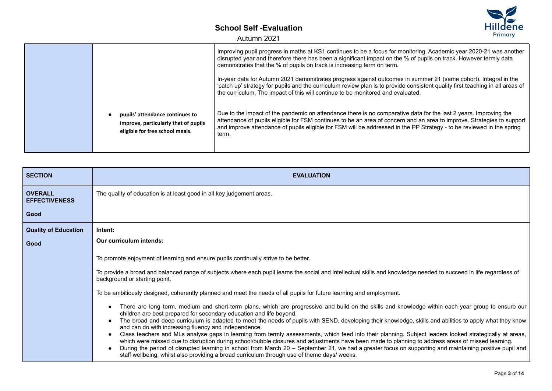Autumn 2021



| <b>SECTION</b>                         | <b>EVALUATION</b>                                                                                                                                                                                                                                                                                                                                                                                                                                                                                                                                                                                                                                                                                                                                                                          |
|----------------------------------------|--------------------------------------------------------------------------------------------------------------------------------------------------------------------------------------------------------------------------------------------------------------------------------------------------------------------------------------------------------------------------------------------------------------------------------------------------------------------------------------------------------------------------------------------------------------------------------------------------------------------------------------------------------------------------------------------------------------------------------------------------------------------------------------------|
| <b>OVERALL</b><br><b>EFFECTIVENESS</b> | The quality of education is at least good in all key judgement areas.                                                                                                                                                                                                                                                                                                                                                                                                                                                                                                                                                                                                                                                                                                                      |
| Good                                   |                                                                                                                                                                                                                                                                                                                                                                                                                                                                                                                                                                                                                                                                                                                                                                                            |
| <b>Quality of Education</b>            | Intent:                                                                                                                                                                                                                                                                                                                                                                                                                                                                                                                                                                                                                                                                                                                                                                                    |
| Good                                   | Our curriculum intends:                                                                                                                                                                                                                                                                                                                                                                                                                                                                                                                                                                                                                                                                                                                                                                    |
|                                        | To promote enjoyment of learning and ensure pupils continually strive to be better.                                                                                                                                                                                                                                                                                                                                                                                                                                                                                                                                                                                                                                                                                                        |
|                                        | To provide a broad and balanced range of subjects where each pupil learns the social and intellectual skills and knowledge needed to succeed in life regardless of<br>background or starting point.                                                                                                                                                                                                                                                                                                                                                                                                                                                                                                                                                                                        |
|                                        | To be ambitiously designed, coherently planned and meet the needs of all pupils for future learning and employment.                                                                                                                                                                                                                                                                                                                                                                                                                                                                                                                                                                                                                                                                        |
|                                        | There are long term, medium and short-term plans, which are progressive and build on the skills and knowledge within each year group to ensure our<br>children are best prepared for secondary education and life beyond.                                                                                                                                                                                                                                                                                                                                                                                                                                                                                                                                                                  |
|                                        | The broad and deep curriculum is adapted to meet the needs of pupils with SEND, developing their knowledge, skills and abilities to apply what they know<br>and can do with increasing fluency and independence.<br>Class teachers and MLs analyse gaps in learning from termly assessments, which feed into their planning. Subject leaders looked strategically at areas,<br>which were missed due to disruption during school/bubble closures and adjustments have been made to planning to address areas of missed learning.<br>During the period of disrupted learning in school from March 20 – September 21, we had a greater focus on supporting and maintaining positive pupil and<br>staff wellbeing, whilst also providing a broad curriculum through use of theme days/ weeks. |

Primary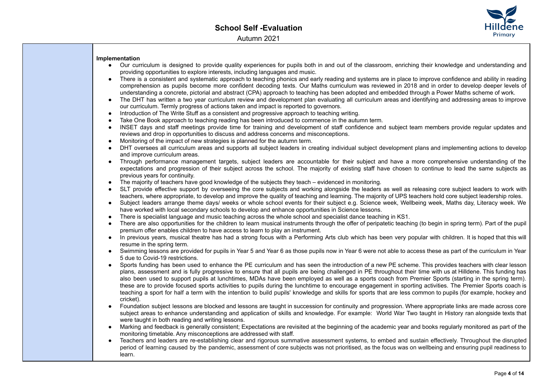

### **Implementation**

- Our curriculum is designed to provide quality experiences for pupils both in and out of the classroom, enriching their knowledge and understanding and providing opportunities to explore interests, including languages and music.
- There is a consistent and systematic approach to teaching phonics and early reading and systems are in place to improve confidence and ability in reading comprehension as pupils become more confident decoding texts. Our Maths curriculum was reviewed in 2018 and in order to develop deeper levels of understanding a concrete, pictorial and abstract (CPA) approach to teaching has been adopted and embedded through a Power Maths scheme of work.
- The DHT has written a two year curriculum review and development plan evaluating all curriculum areas and identifying and addressing areas to improve our curriculum. Termly progress of actions taken and impact is reported to governors.
- Introduction of The Write Stuff as a consistent and progressive approach to teaching writing.
- Take One Book approach to teaching reading has been introduced to commence in the autumn term.
- INSET days and staff meetings provide time for training and development of staff confidence and subject team members provide regular updates and reviews and drop in opportunities to discuss and address concerns and misconceptions.
- Monitoring of the impact of new strategies is planned for the autumn term.
- DHT oversees all curriculum areas and supports all subject leaders in creating individual subject development plans and implementing actions to develop and improve curriculum areas.
- Through performance management targets, subject leaders are accountable for their subject and have a more comprehensive understanding of the expectations and progression of their subject across the school. The majority of existing staff have chosen to continue to lead the same subjects as previous years for continuity.
- The majority of teachers have good knowledge of the subjects they teach evidenced in monitoring.
- SLT provide effective support by overseeing the core subjects and working alongside the leaders as well as releasing core subject leaders to work with teachers, where appropriate, to develop and improve the quality of teaching and learning. The majority of UPS teachers hold core subject leadership roles.
- Subject leaders arrange theme days/ weeks or whole school events for their subject e.g. Science week, Wellbeing week, Maths day, Literacy week. We have worked with local secondary schools to develop and enhance opportunities in Science lessons.
- There is specialist language and music teaching across the whole school and specialist dance teaching in KS1.
- There are also opportunities for the children to learn musical instruments through the offer of peripatetic teaching (to begin in spring term). Part of the pupil premium offer enables children to have access to learn to play an instrument.
- In previous years, musical theatre has had a strong focus with a Performing Arts club which has been very popular with children. It is hoped that this will resume in the spring term.
- Swimming lessons are provided for pupils in Year 5 and Year 6 as those pupils now in Year 6 were not able to access these as part of the curriculum in Year 5 due to Covid-19 restrictions.
- Sports funding has been used to enhance the PE curriculum and has seen the introduction of a new PE scheme. This provides teachers with clear lesson plans, assessment and is fully progressive to ensure that all pupils are being challenged in PE throughout their time with us at Hilldene. This funding has also been used to support pupils at lunchtimes, MDAs have been employed as well as a sports coach from Premier Sports (starting in the spring term). these are to provide focused sports activities to pupils during the lunchtime to encourage engagement in sporting activities. The Premier Sports coach is teaching a sport for half a term with the intention to build pupils' knowledge and skills for sports that are less common to pupils (for example, hockey and cricket).
- Foundation subject lessons are blocked and lessons are taught in succession for continuity and progression. Where appropriate links are made across core subject areas to enhance understanding and application of skills and knowledge. For example: World War Two taught in History ran alongside texts that were taught in both reading and writing lessons.
- Marking and feedback is generally consistent; Expectations are revisited at the beginning of the academic year and books regularly monitored as part of the monitoring timetable. Any misconceptions are addressed with staff.
- Teachers and leaders are re-establishing clear and rigorous summative assessment systems, to embed and sustain effectively. Throughout the disrupted period of learning caused by the pandemic, assessment of core subjects was not prioritised, as the focus was on wellbeing and ensuring pupil readiness to learn.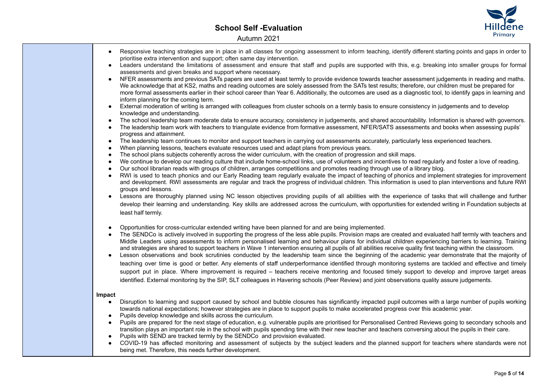

|           | Responsive teaching strategies are in place in all classes for ongoing assessment to inform teaching, identify different starting points and gaps in order to<br>prioritise extra intervention and support; often same day intervention.                                                                                                                                                                                                                                                                            |
|-----------|---------------------------------------------------------------------------------------------------------------------------------------------------------------------------------------------------------------------------------------------------------------------------------------------------------------------------------------------------------------------------------------------------------------------------------------------------------------------------------------------------------------------|
|           | Leaders understand the limitations of assessment and ensure that staff and pupils are supported with this, e.g. breaking into smaller groups for formal<br>assessments and given breaks and support where necessary.                                                                                                                                                                                                                                                                                                |
| $\bullet$ | NFER assessments and previous SATs papers are used at least termly to provide evidence towards teacher assessment judgements in reading and maths.<br>We acknowledge that at KS2, maths and reading outcomes are solely assessed from the SATs test results; therefore, our children must be prepared for<br>more formal assessments earlier in their school career than Year 6. Additionally, the outcomes are used as a diagnostic tool, to identify gaps in learning and<br>inform planning for the coming term. |
|           | External moderation of writing is arranged with colleagues from cluster schools on a termly basis to ensure consistency in judgements and to develop<br>knowledge and understanding.                                                                                                                                                                                                                                                                                                                                |
| $\bullet$ | The school leadership team moderate data to ensure accuracy, consistency in judgements, and shared accountability. Information is shared with governors.                                                                                                                                                                                                                                                                                                                                                            |
|           | The leadership team work with teachers to triangulate evidence from formative assessment, NFER/SATS assessments and books when assessing pupils'<br>progress and attainment.                                                                                                                                                                                                                                                                                                                                        |
| $\bullet$ | The leadership team continues to monitor and support teachers in carrying out assessments accurately, particularly less experienced teachers.                                                                                                                                                                                                                                                                                                                                                                       |
|           | When planning lessons, teachers evaluate resources used and adapt plans from previous years.                                                                                                                                                                                                                                                                                                                                                                                                                        |
| $\bullet$ | The school plans subjects coherently across the wider curriculum, with the creation of progression and skill maps.                                                                                                                                                                                                                                                                                                                                                                                                  |
| $\bullet$ | We continue to develop our reading culture that include home-school links, use of volunteers and incentives to read regularly and foster a love of reading.                                                                                                                                                                                                                                                                                                                                                         |
|           | Our school librarian reads with groups of children, arranges competitions and promotes reading through use of a library blog.                                                                                                                                                                                                                                                                                                                                                                                       |
| $\bullet$ | RWI is used to teach phonics and our Early Reading team regularly evaluate the impact of teaching of phonics and implement strategies for improvement<br>and development. RWI assessments are regular and track the progress of individual children. This information is used to plan interventions and future RWI<br>groups and lessons.                                                                                                                                                                           |
| $\bullet$ | Lessons are thoroughly planned using NC lesson objectives providing pupils of all abilities with the experience of tasks that will challenge and further                                                                                                                                                                                                                                                                                                                                                            |
|           |                                                                                                                                                                                                                                                                                                                                                                                                                                                                                                                     |
|           | develop their learning and understanding. Key skills are addressed across the curriculum, with opportunities for extended writing in Foundation subjects at<br>least half termly.                                                                                                                                                                                                                                                                                                                                   |
| $\bullet$ | Opportunities for cross-curricular extended writing have been planned for and are being implemented.                                                                                                                                                                                                                                                                                                                                                                                                                |
|           | The SENDCo is actively involved in supporting the progress of the less able pupils. Provision maps are created and evaluated half termly with teachers and<br>Middle Leaders using assessments to inform personalised learning and behaviour plans for individual children experiencing barriers to learning. Training                                                                                                                                                                                              |
| ٠         | and strategies are shared to support teachers in Wave 1 intervention ensuring all pupils of all abilities receive quality first teaching within the classroom.<br>Lesson observations and book scrutinies conducted by the leadership team since the beginning of the academic year demonstrate that the majority of                                                                                                                                                                                                |
|           |                                                                                                                                                                                                                                                                                                                                                                                                                                                                                                                     |
|           | teaching over time is good or better. Any elements of staff underperformance identified through monitoring systems are tackled and effective and timely                                                                                                                                                                                                                                                                                                                                                             |
|           | support put in place. Where improvement is required – teachers receive mentoring and focused timely support to develop and improve target areas                                                                                                                                                                                                                                                                                                                                                                     |
|           | identified. External monitoring by the SIP, SLT colleagues in Havering schools (Peer Review) and joint observations quality assure judgements.                                                                                                                                                                                                                                                                                                                                                                      |
| Impact    |                                                                                                                                                                                                                                                                                                                                                                                                                                                                                                                     |
| $\bullet$ | Disruption to learning and support caused by school and bubble closures has significantly impacted pupil outcomes with a large number of pupils working                                                                                                                                                                                                                                                                                                                                                             |
|           | towards national expectations; however strategies are in place to support pupils to make accelerated progress over this academic year.                                                                                                                                                                                                                                                                                                                                                                              |
| $\bullet$ | Pupils develop knowledge and skills across the curriculum.                                                                                                                                                                                                                                                                                                                                                                                                                                                          |
| $\bullet$ | Pupils are prepared for the next stage of education, e.g. vulnerable pupils are prioritised for Personalised Centred Reviews going to secondary schools and                                                                                                                                                                                                                                                                                                                                                         |
|           | transition plays an important role in the school with pupils spending time with their new teacher and teachers conversing about the pupils in their care.                                                                                                                                                                                                                                                                                                                                                           |
|           | Pupils with SEND are tracked termly by the SENDCo and provision evaluated.                                                                                                                                                                                                                                                                                                                                                                                                                                          |
|           | COVID-19 has affected monitoring and assessment of subjects by the subject leaders and the planned support for teachers where standards were not                                                                                                                                                                                                                                                                                                                                                                    |
|           | being met. Therefore, this needs further development.                                                                                                                                                                                                                                                                                                                                                                                                                                                               |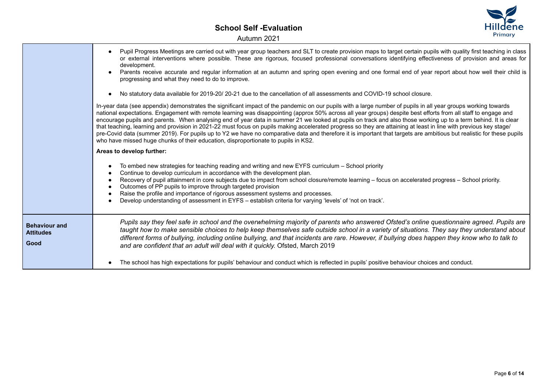

|                                                  | Pupil Progress Meetings are carried out with year group teachers and SLT to create provision maps to target certain pupils with quality first teaching in class<br>or external interventions where possible. These are rigorous, focused professional conversations identifying effectiveness of provision and areas for<br>development.<br>Parents receive accurate and regular information at an autumn and spring open evening and one formal end of year report about how well their child is<br>progressing and what they need to do to improve.                                                                                                                                                                                                                                                                                                                                                                                   |
|--------------------------------------------------|-----------------------------------------------------------------------------------------------------------------------------------------------------------------------------------------------------------------------------------------------------------------------------------------------------------------------------------------------------------------------------------------------------------------------------------------------------------------------------------------------------------------------------------------------------------------------------------------------------------------------------------------------------------------------------------------------------------------------------------------------------------------------------------------------------------------------------------------------------------------------------------------------------------------------------------------|
|                                                  | No statutory data available for 2019-20/20-21 due to the cancellation of all assessments and COVID-19 school closure.<br>$\bullet$                                                                                                                                                                                                                                                                                                                                                                                                                                                                                                                                                                                                                                                                                                                                                                                                      |
|                                                  | In-year data (see appendix) demonstrates the significant impact of the pandemic on our pupils with a large number of pupils in all year groups working towards<br>national expectations. Engagement with remote learning was disappointing (approx 50% across all year groups) despite best efforts from all staff to engage and<br>encourage pupils and parents. When analysing end of year data in summer 21 we looked at pupils on track and also those working up to a term behind. It is clear<br>that teaching, learning and provision in 2021-22 must focus on pupils making accelerated progress so they are attaining at least in line with previous key stage/<br>pre-Covid data (summer 2019). For pupils up to Y2 we have no comparative data and therefore it is important that targets are ambitious but realistic for these pupils<br>who have missed huge chunks of their education, disproportionate to pupils in KS2. |
|                                                  | Areas to develop further:                                                                                                                                                                                                                                                                                                                                                                                                                                                                                                                                                                                                                                                                                                                                                                                                                                                                                                               |
|                                                  | To embed new strategies for teaching reading and writing and new EYFS curriculum - School priority<br>Continue to develop curriculum in accordance with the development plan.<br>Recovery of pupil attainment in core subjects due to impact from school closure/remote learning - focus on accelerated progress - School priority.<br>Outcomes of PP pupils to improve through targeted provision<br>$\bullet$<br>Raise the profile and importance of rigorous assessment systems and processes.<br>$\bullet$<br>Develop understanding of assessment in EYFS – establish criteria for varying 'levels' of 'not on track'.                                                                                                                                                                                                                                                                                                              |
| <b>Behaviour and</b><br><b>Attitudes</b><br>Good | Pupils say they feel safe in school and the overwhelming majority of parents who answered Ofsted's online questionnaire agreed. Pupils are<br>taught how to make sensible choices to help keep themselves safe outside school in a variety of situations. They say they understand about<br>different forms of bullying, including online bullying, and that incidents are rare. However, if bullying does happen they know who to talk to<br>and are confident that an adult will deal with it quickly. Ofsted, March 2019                                                                                                                                                                                                                                                                                                                                                                                                             |
|                                                  | The school has high expectations for pupils' behaviour and conduct which is reflected in pupils' positive behaviour choices and conduct.                                                                                                                                                                                                                                                                                                                                                                                                                                                                                                                                                                                                                                                                                                                                                                                                |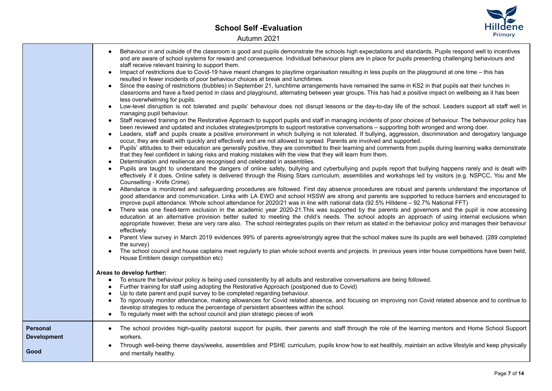

┑

|                                               | Behaviour in and outside of the classroom is good and pupils demonstrate the schools high expectations and standards. Pupils respond well to incentives<br>and are aware of school systems for reward and consequence. Individual behaviour plans are in place for pupils presenting challenging behaviours and<br>staff receive relevant training to support them.<br>Impact of restrictions due to Covid-19 have meant changes to playtime organisation resulting in less pupils on the playground at one time – this has<br>resulted in fewer incidents of poor behaviour choices at break and lunchtimes.<br>Since the easing of restrictions (bubbles) in September 21, lunchtime arrangements have remained the same in KS2 in that pupils eat their lunches in<br>classrooms and have a fixed period in class and playground, alternating between year groups. This has had a positive impact on wellbeing as it has been<br>less overwhelming for pupils.<br>Low-level disruption is not tolerated and pupils' behaviour does not disrupt lessons or the day-to-day life of the school. Leaders support all staff well in<br>managing pupil behaviour.<br>Staff received training on the Restorative Approach to support pupils and staff in managing incidents of poor choices of behaviour. The behaviour policy has<br>$\bullet$<br>been reviewed and updated and includes strategies/prompts to support restorative conversations - supporting both wronged and wrong doer.<br>Leaders, staff and pupils create a positive environment in which bullying is not tolerated. If bullying, aggression, discrimination and derogatory language<br>$\bullet$<br>occur, they are dealt with quickly and effectively and are not allowed to spread. Parents are involved and supported.<br>Pupils' attitudes to their education are generally positive, they are committed to their learning and comments from pupils during learning walks demonstrate<br>that they feel confident in taking risks and making mistakes with the view that they will learn from them.<br>Determination and resilience are recognised and celebrated in assemblies.<br>Pupils are taught to understand the dangers of online safety, bullying and cyberbullying and pupils report that bullying happens rarely and is dealt with<br>effectively if it does. Online safety is delivered through the Rising Stars curriculum, assemblies and workshops led by visitors (e.g. NSPCC, You and Me<br>Counselling - Knife Crime).<br>Attendance is monitored and safeguarding procedures are followed. First day absence procedures are robust and parents understand the importance of<br>good attendance and communication. Links with LA EWO and school HSSW are strong and parents are supported to reduce barriers and encouraged to<br>improve pupil attendance. Whole school attendance for 2020/21 was in line with national data (92.5% Hilldene - 92.7% National FFT)<br>There was one fixed-term exclusion in the academic year 2020-21. This was supported by the parents and governors and the pupil is now accessing<br>education at an alternative provision better suited to meeting the child's needs. The school adopts an approach of using internal exclusions when<br>appropriate however, these are very rare also. The school reintegrates pupils on their return as stated in the behaviour policy and manages their behaviour<br>effectively.<br>Parent View survey in March 2019 evidences 99% of parents agree/strongly agree that the school makes sure its pupils are well behaved. (289 completed<br>the survey)<br>The school council and house captains meet regularly to plan whole school events and projects. In previous years inter house competitions have been held,<br>House Emblem design competition etc)<br>Areas to develop further:<br>To ensure the behaviour policy is being used consistently by all adults and restorative conversations are being followed.<br>$\bullet$<br>Further training for staff using adopting the Restorative Approach (postponed due to Covid)<br>$\bullet$<br>Up to date parent and pupil survey to be completed regarding behaviour.<br>To rigorously monitor attendance, making allowances for Covid related absence, and focusing on improving non Covid related absence and to continue to<br>develop strategies to reduce the percentage of persistent absentees within the school.<br>To regularly meet with the school council and plan strategic pieces of work<br>$\bullet$ |
|-----------------------------------------------|------------------------------------------------------------------------------------------------------------------------------------------------------------------------------------------------------------------------------------------------------------------------------------------------------------------------------------------------------------------------------------------------------------------------------------------------------------------------------------------------------------------------------------------------------------------------------------------------------------------------------------------------------------------------------------------------------------------------------------------------------------------------------------------------------------------------------------------------------------------------------------------------------------------------------------------------------------------------------------------------------------------------------------------------------------------------------------------------------------------------------------------------------------------------------------------------------------------------------------------------------------------------------------------------------------------------------------------------------------------------------------------------------------------------------------------------------------------------------------------------------------------------------------------------------------------------------------------------------------------------------------------------------------------------------------------------------------------------------------------------------------------------------------------------------------------------------------------------------------------------------------------------------------------------------------------------------------------------------------------------------------------------------------------------------------------------------------------------------------------------------------------------------------------------------------------------------------------------------------------------------------------------------------------------------------------------------------------------------------------------------------------------------------------------------------------------------------------------------------------------------------------------------------------------------------------------------------------------------------------------------------------------------------------------------------------------------------------------------------------------------------------------------------------------------------------------------------------------------------------------------------------------------------------------------------------------------------------------------------------------------------------------------------------------------------------------------------------------------------------------------------------------------------------------------------------------------------------------------------------------------------------------------------------------------------------------------------------------------------------------------------------------------------------------------------------------------------------------------------------------------------------------------------------------------------------------------------------------------------------------------------------------------------------------------------------------------------------------------------------------------------------------------------------------------------------------------------------------------------------------------------------------------------------------------------------------------------------------------------------------------------------------------------------------------------------------------------------------------------------------------------------------------------------------------------------------------------------------------------------------------------------------------------------------------------------------------------------------------------------------------------------------------------------------------------------------------------------------------------------------------------------------------------------------|
| <b>Personal</b><br><b>Development</b><br>Good | The school provides high-quality pastoral support for pupils, their parents and staff through the role of the learning mentors and Home School Support<br>workers.<br>Through well-being theme days/weeks, assemblies and PSHE curriculum, pupils know how to eat healthily, maintain an active lifestyle and keep physically<br>and mentally healthy.                                                                                                                                                                                                                                                                                                                                                                                                                                                                                                                                                                                                                                                                                                                                                                                                                                                                                                                                                                                                                                                                                                                                                                                                                                                                                                                                                                                                                                                                                                                                                                                                                                                                                                                                                                                                                                                                                                                                                                                                                                                                                                                                                                                                                                                                                                                                                                                                                                                                                                                                                                                                                                                                                                                                                                                                                                                                                                                                                                                                                                                                                                                                                                                                                                                                                                                                                                                                                                                                                                                                                                                                                                                                                                                                                                                                                                                                                                                                                                                                                                                                                                                                                                                         |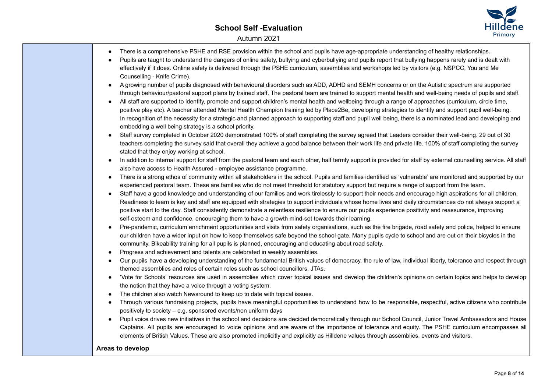## **School Self -Evaluation** Autumn 2021



| There is a comprehensive PSHE and RSE provision within the school and pupils have age-appropriate understanding of healthy relationships.<br>Pupils are taught to understand the dangers of online safety, bullying and cyberbullying and pupils report that bullying happens rarely and is dealt with<br>effectively if it does. Online safety is delivered through the PSHE curriculum, assemblies and workshops led by visitors (e.g. NSPCC, You and Me<br>Counselling - Knife Crime).<br>A growing number of pupils diagnosed with behavioural disorders such as ADD, ADHD and SEMH concerns or on the Autistic spectrum are supported<br>through behaviour/pastoral support plans by trained staff. The pastoral team are trained to support mental health and well-being needs of pupils and staff.<br>All staff are supported to identify, promote and support children's mental health and wellbeing through a range of approaches (curriculum, circle time,<br>positive play etc). A teacher attended Mental Health Champion training led by Place2Be, developing strategies to identify and support pupil well-being.<br>In recognition of the necessity for a strategic and planned approach to supporting staff and pupil well being, there is a nominated lead and developing and<br>embedding a well being strategy is a school priority.<br>Staff survey completed in October 2020 demonstrated 100% of staff completing the survey agreed that Leaders consider their well-being. 29 out of 30<br>teachers completing the survey said that overall they achieve a good balance between their work life and private life. 100% of staff completing the survey<br>stated that they enjoy working at school.<br>In addition to internal support for staff from the pastoral team and each other, half termly support is provided for staff by external counselling service. All staff<br>$\bullet$<br>also have access to Health Assured - employee assistance programme.<br>There is a strong ethos of community within all stakeholders in the school. Pupils and families identified as 'vulnerable' are monitored and supported by our<br>٠<br>experienced pastoral team. These are families who do not meet threshold for statutory support but require a range of support from the team.<br>Staff have a good knowledge and understanding of our families and work tirelessly to support their needs and encourage high aspirations for all children.<br>$\bullet$<br>Readiness to learn is key and staff are equipped with strategies to support individuals whose home lives and daily circumstances do not always support a<br>positive start to the day. Staff consistently demonstrate a relentless resilience to ensure our pupils experience positivity and reassurance, improving<br>self-esteem and confidence, encouraging them to have a growth mind-set towards their learning.<br>Pre-pandemic, curriculum enrichment opportunities and visits from safety organisations, such as the fire brigade, road safety and police, helped to ensure<br>$\bullet$<br>our children have a wider input on how to keep themselves safe beyond the school gate. Many pupils cycle to school and are out on their bicycles in the<br>community. Bikeability training for all pupils is planned, encouraging and educating about road safety.<br>Progress and achievement and talents are celebrated in weekly assemblies.<br>$\bullet$<br>Our pupils have a developing understanding of the fundamental British values of democracy, the rule of law, individual liberty, tolerance and respect through<br>$\bullet$ |
|-----------------------------------------------------------------------------------------------------------------------------------------------------------------------------------------------------------------------------------------------------------------------------------------------------------------------------------------------------------------------------------------------------------------------------------------------------------------------------------------------------------------------------------------------------------------------------------------------------------------------------------------------------------------------------------------------------------------------------------------------------------------------------------------------------------------------------------------------------------------------------------------------------------------------------------------------------------------------------------------------------------------------------------------------------------------------------------------------------------------------------------------------------------------------------------------------------------------------------------------------------------------------------------------------------------------------------------------------------------------------------------------------------------------------------------------------------------------------------------------------------------------------------------------------------------------------------------------------------------------------------------------------------------------------------------------------------------------------------------------------------------------------------------------------------------------------------------------------------------------------------------------------------------------------------------------------------------------------------------------------------------------------------------------------------------------------------------------------------------------------------------------------------------------------------------------------------------------------------------------------------------------------------------------------------------------------------------------------------------------------------------------------------------------------------------------------------------------------------------------------------------------------------------------------------------------------------------------------------------------------------------------------------------------------------------------------------------------------------------------------------------------------------------------------------------------------------------------------------------------------------------------------------------------------------------------------------------------------------------------------------------------------------------------------------------------------------------------------------------------------------------------------------------------------------------------------------------------------------------------------------------------------------------------------------------------------------------------------------------------------------------------------------------------------------------------------------------------------------------------------------------------------------------------------------------------------------------------------------------------------------------------|
|                                                                                                                                                                                                                                                                                                                                                                                                                                                                                                                                                                                                                                                                                                                                                                                                                                                                                                                                                                                                                                                                                                                                                                                                                                                                                                                                                                                                                                                                                                                                                                                                                                                                                                                                                                                                                                                                                                                                                                                                                                                                                                                                                                                                                                                                                                                                                                                                                                                                                                                                                                                                                                                                                                                                                                                                                                                                                                                                                                                                                                                                                                                                                                                                                                                                                                                                                                                                                                                                                                                                                                                                                                         |
|                                                                                                                                                                                                                                                                                                                                                                                                                                                                                                                                                                                                                                                                                                                                                                                                                                                                                                                                                                                                                                                                                                                                                                                                                                                                                                                                                                                                                                                                                                                                                                                                                                                                                                                                                                                                                                                                                                                                                                                                                                                                                                                                                                                                                                                                                                                                                                                                                                                                                                                                                                                                                                                                                                                                                                                                                                                                                                                                                                                                                                                                                                                                                                                                                                                                                                                                                                                                                                                                                                                                                                                                                                         |
| themed assemblies and roles of certain roles such as school councillors, JTAs.                                                                                                                                                                                                                                                                                                                                                                                                                                                                                                                                                                                                                                                                                                                                                                                                                                                                                                                                                                                                                                                                                                                                                                                                                                                                                                                                                                                                                                                                                                                                                                                                                                                                                                                                                                                                                                                                                                                                                                                                                                                                                                                                                                                                                                                                                                                                                                                                                                                                                                                                                                                                                                                                                                                                                                                                                                                                                                                                                                                                                                                                                                                                                                                                                                                                                                                                                                                                                                                                                                                                                          |
| 'Vote for Schools' resources are used in assemblies which cover topical issues and develop the children's opinions on certain topics and helps to develop<br>$\bullet$<br>the notion that they have a voice through a voting system.                                                                                                                                                                                                                                                                                                                                                                                                                                                                                                                                                                                                                                                                                                                                                                                                                                                                                                                                                                                                                                                                                                                                                                                                                                                                                                                                                                                                                                                                                                                                                                                                                                                                                                                                                                                                                                                                                                                                                                                                                                                                                                                                                                                                                                                                                                                                                                                                                                                                                                                                                                                                                                                                                                                                                                                                                                                                                                                                                                                                                                                                                                                                                                                                                                                                                                                                                                                                    |
| The children also watch Newsround to keep up to date with topical issues.<br>$\bullet$                                                                                                                                                                                                                                                                                                                                                                                                                                                                                                                                                                                                                                                                                                                                                                                                                                                                                                                                                                                                                                                                                                                                                                                                                                                                                                                                                                                                                                                                                                                                                                                                                                                                                                                                                                                                                                                                                                                                                                                                                                                                                                                                                                                                                                                                                                                                                                                                                                                                                                                                                                                                                                                                                                                                                                                                                                                                                                                                                                                                                                                                                                                                                                                                                                                                                                                                                                                                                                                                                                                                                  |
| Through various fundraising projects, pupils have meaningful opportunities to understand how to be responsible, respectful, active citizens who contribute<br>$\bullet$                                                                                                                                                                                                                                                                                                                                                                                                                                                                                                                                                                                                                                                                                                                                                                                                                                                                                                                                                                                                                                                                                                                                                                                                                                                                                                                                                                                                                                                                                                                                                                                                                                                                                                                                                                                                                                                                                                                                                                                                                                                                                                                                                                                                                                                                                                                                                                                                                                                                                                                                                                                                                                                                                                                                                                                                                                                                                                                                                                                                                                                                                                                                                                                                                                                                                                                                                                                                                                                                 |
| positively to society - e.g. sponsored events/non uniform days                                                                                                                                                                                                                                                                                                                                                                                                                                                                                                                                                                                                                                                                                                                                                                                                                                                                                                                                                                                                                                                                                                                                                                                                                                                                                                                                                                                                                                                                                                                                                                                                                                                                                                                                                                                                                                                                                                                                                                                                                                                                                                                                                                                                                                                                                                                                                                                                                                                                                                                                                                                                                                                                                                                                                                                                                                                                                                                                                                                                                                                                                                                                                                                                                                                                                                                                                                                                                                                                                                                                                                          |
| Pupil voice drives new initiatives in the school and decisions are decided democratically through our School Council, Junior Travel Ambassadors and House<br>$\bullet$                                                                                                                                                                                                                                                                                                                                                                                                                                                                                                                                                                                                                                                                                                                                                                                                                                                                                                                                                                                                                                                                                                                                                                                                                                                                                                                                                                                                                                                                                                                                                                                                                                                                                                                                                                                                                                                                                                                                                                                                                                                                                                                                                                                                                                                                                                                                                                                                                                                                                                                                                                                                                                                                                                                                                                                                                                                                                                                                                                                                                                                                                                                                                                                                                                                                                                                                                                                                                                                                  |
| Captains. All pupils are encouraged to voice opinions and are aware of the importance of tolerance and equity. The PSHE curriculum encompasses all<br>elements of British Values. These are also promoted implicitly and explicitly as Hilldene values through assemblies, events and visitors.                                                                                                                                                                                                                                                                                                                                                                                                                                                                                                                                                                                                                                                                                                                                                                                                                                                                                                                                                                                                                                                                                                                                                                                                                                                                                                                                                                                                                                                                                                                                                                                                                                                                                                                                                                                                                                                                                                                                                                                                                                                                                                                                                                                                                                                                                                                                                                                                                                                                                                                                                                                                                                                                                                                                                                                                                                                                                                                                                                                                                                                                                                                                                                                                                                                                                                                                         |
| Areas to develop                                                                                                                                                                                                                                                                                                                                                                                                                                                                                                                                                                                                                                                                                                                                                                                                                                                                                                                                                                                                                                                                                                                                                                                                                                                                                                                                                                                                                                                                                                                                                                                                                                                                                                                                                                                                                                                                                                                                                                                                                                                                                                                                                                                                                                                                                                                                                                                                                                                                                                                                                                                                                                                                                                                                                                                                                                                                                                                                                                                                                                                                                                                                                                                                                                                                                                                                                                                                                                                                                                                                                                                                                        |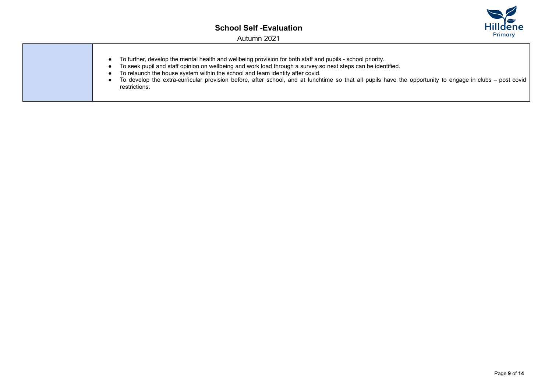

- To further, develop the mental health and wellbeing provision for both staff and pupils school priority.
- To seek pupil and staff opinion on wellbeing and work load through a survey so next steps can be identified.
- To relaunch the house system within the school and team identity after covid.
- To develop the extra-curricular provision before, after school, and at lunchtime so that all pupils have the opportunity to engage in clubs post covid restrictions.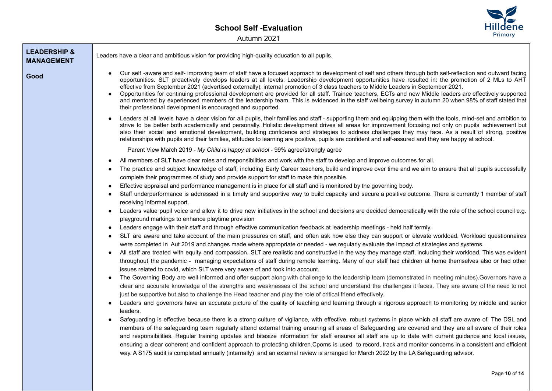

| <b>LEADERSHIP &amp;</b><br><b>MANAGEMENT</b> | Leaders have a clear and ambitious vision for providing high-quality education to all pupils.                                                                                                                                                                                                                                                                                                                                                                                                                                                                                                                                                                                                                                                                                                                                                                                                                                                                                                                                                                                                                                                                                                                                                                                                                                                                                                                                                                                                                                                                                                                                                                                               |
|----------------------------------------------|---------------------------------------------------------------------------------------------------------------------------------------------------------------------------------------------------------------------------------------------------------------------------------------------------------------------------------------------------------------------------------------------------------------------------------------------------------------------------------------------------------------------------------------------------------------------------------------------------------------------------------------------------------------------------------------------------------------------------------------------------------------------------------------------------------------------------------------------------------------------------------------------------------------------------------------------------------------------------------------------------------------------------------------------------------------------------------------------------------------------------------------------------------------------------------------------------------------------------------------------------------------------------------------------------------------------------------------------------------------------------------------------------------------------------------------------------------------------------------------------------------------------------------------------------------------------------------------------------------------------------------------------------------------------------------------------|
| Good                                         | Our self-aware and self-improving team of staff have a focused approach to development of self and others through both self-reflection and outward facing<br>opportunities. SLT proactively develops leaders at all levels: Leadership development opportunities have resulted in: the promotion of 2 MLs to AHT<br>effective from September 2021 (advertised externally); internal promotion of 3 class teachers to Middle Leaders in September 2021.<br>Opportunities for continuing professional development are provided for all staff. Trainee teachers, ECTs and new Middle leaders are effectively supported<br>and mentored by experienced members of the leadership team. This is evidenced in the staff wellbeing survey in autumn 20 when 98% of staff stated that<br>their professional development is encouraged and supported.                                                                                                                                                                                                                                                                                                                                                                                                                                                                                                                                                                                                                                                                                                                                                                                                                                                |
|                                              | Leaders at all levels have a clear vision for all pupils, their families and staff - supporting them and equipping them with the tools, mind-set and ambition to<br>strive to be better both academically and personally. Holistic development drives all areas for improvement focusing not only on pupils' achievement but<br>also their social and emotional development, building confidence and strategies to address challenges they may face. As a result of strong, positive<br>relationships with pupils and their families, attitudes to learning are positive, pupils are confident and self-assured and they are happy at school.                                                                                                                                                                                                                                                                                                                                                                                                                                                                                                                                                                                                                                                                                                                                                                                                                                                                                                                                                                                                                                               |
|                                              | Parent View March 2019 - My Child is happy at school - 99% agree/strongly agree                                                                                                                                                                                                                                                                                                                                                                                                                                                                                                                                                                                                                                                                                                                                                                                                                                                                                                                                                                                                                                                                                                                                                                                                                                                                                                                                                                                                                                                                                                                                                                                                             |
|                                              | All members of SLT have clear roles and responsibilities and work with the staff to develop and improve outcomes for all.<br>The practice and subject knowledge of staff, including Early Career teachers, build and improve over time and we aim to ensure that all pupils successfully<br>complete their programmes of study and provide support for staff to make this possible.<br>Effective appraisal and performance management is in place for all staff and is monitored by the governing body.<br>Staff underperformance is addressed in a timely and supportive way to build capacity and secure a positive outcome. There is currently 1 member of staff<br>receiving informal support.<br>Leaders value pupil voice and allow it to drive new initiatives in the school and decisions are decided democratically with the role of the school council e.g.<br>$\bullet$<br>playground markings to enhance playtime provision<br>Leaders engage with their staff and through effective communication feedback at leadership meetings - held half termly.<br>SLT are aware and take account of the main pressures on staff, and often ask how else they can support or elevate workload. Workload questionnaires<br>were completed in Aut 2019 and changes made where appropriate or needed - we regularly evaluate the impact of strategies and systems.<br>All staff are treated with equity and compassion. SLT are realistic and constructive in the way they manage staff, including their workload. This was evident<br>throughout the pandemic - managing expectations of staff during remote learning. Many of our staff had children at home themselves also or had other |
|                                              | issues related to covid, which SLT were very aware of and took into account.<br>The Governing Body are well informed and offer support along with challenge to the leadership team (demonstrated in meeting minutes). Governors have a<br>$\bullet$<br>clear and accurate knowledge of the strengths and weaknesses of the school and understand the challenges it faces. They are aware of the need to not<br>just be supportive but also to challenge the Head teacher and play the role of critical friend effectively.<br>Leaders and governors have an accurate picture of the quality of teaching and learning through a rigorous approach to monitoring by middle and senior<br>leaders.<br>Safeguarding is effective because there is a strong culture of vigilance, with effective, robust systems in place which all staff are aware of. The DSL and<br>members of the safeguarding team regularly attend external training ensuring all areas of Safeguarding are covered and they are all aware of their roles<br>and responsibilities. Regular training updates and bitesize information for staff ensures all staff are up to date with current guidance and local issues,<br>ensuring a clear coherent and confident approach to protecting children. Cpoms is used to record, track and monitor concerns in a consistent and efficient<br>way. A S175 audit is completed annually (internally) and an external review is arranged for March 2022 by the LA Safeguarding advisor.                                                                                                                                                                                            |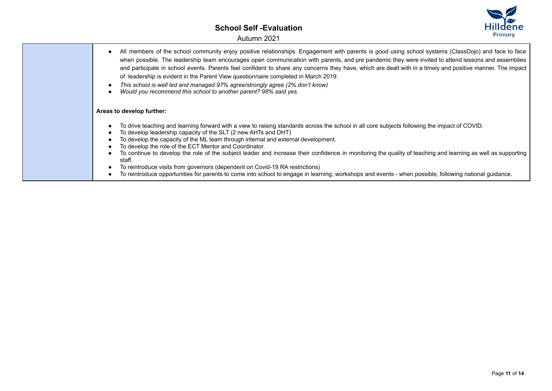Autumn 2021



- All members of the school community enjoy positive relationships. Engagement with parents is good using school systems (ClassDojo) and face to face when possible. The leadership team encourages open communication with parents, and pre pandemic they were invited to attend lessons and assemblies and participate in school events. Parents feel confident to share any concerns they have, which are dealt with in a timely and positive manner. The impact of leadership is evident in the Parent View questionnaire completed in March 2019:
- *This school is well led and managed 97% agree/strongly agree (2% don't know)*
- *Would you recommend this school to another parent? 98% said yes.*

#### **Areas to develop further:**

- To drive teaching and learning forward with a view to raising standards across the school in all core subjects following the impact of COVID.
- To develop leadership capacity of the SLT (2 new AHTs and DHT)
- To develop the capacity of the ML team through internal and external development.
- To develop the role of the ECT Mentor and Coordinator.
- To continue to develop the role of the subject leader and increase their confidence in monitoring the quality of teaching and learning as well as supporting staff.
- To reintroduce visits from governors (dependent on Covid-19 RA restrictions)
- To reintroduce opportunities for parents to come into school to engage in learning, workshops and events when possible, following national guidance.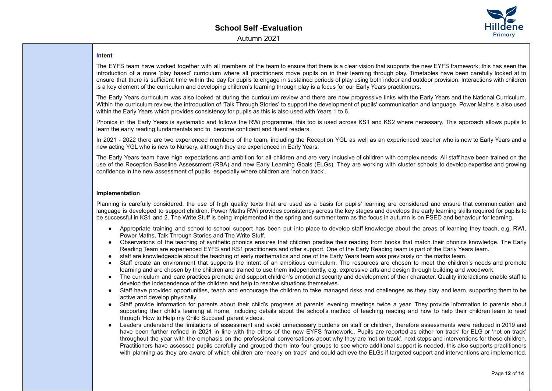

## **Intent**

The EYFS team have worked together with all members of the team to ensure that there is a clear vision that supports the new EYFS framework; this has seen the introduction of a more 'play based' curriculum where all practitioners move pupils on in their learning through play. Timetables have been carefully looked at to ensure that there is sufficient time within the day for pupils to engage in sustained periods of play using both indoor and outdoor provision. Interactions with children is a key element of the curriculum and developing children's learning through play is a focus for our Early Years practitioners.

The Early Years curriculum was also looked at during the curriculum review and there are now progressive links with the Early Years and the National Curriculum. Within the curriculum review, the introduction of 'Talk Through Stories' to support the development of pupils' communication and language. Power Maths is also used within the Early Years which provides consistency for pupils as this is also used with Years 1 to 6.

Phonics in the Early Years is systematic and follows the RWi programme, this too is used across KS1 and KS2 where necessary. This approach allows pupils to learn the early reading fundamentals and to become confident and fluent readers.

In 2021 - 2022 there are two experienced members of the team, including the Reception YGL as well as an experienced teacher who is new to Early Years and a new acting YGL who is new to Nursery, although they are experienced in Early Years.

The Early Years team have high expectations and ambition for all children and are very inclusive of children with complex needs. All staff have been trained on the use of the Reception Baseline Assessment (RBA) and new Early Learning Goals (ELGs). They are working with cluster schools to develop expertise and growing confidence in the new assessment of pupils, especially where children are 'not on track'.

## **Implementation**

Planning is carefully considered, the use of high quality texts that are used as a basis for pupils' learning are considered and ensure that communication and language is developed to support children. Power Maths RWi provides consistency across the key stages and develops the early learning skills required for pupils to be successful in KS1 and 2. The Write Stuff is being implemented in the spring and summer term as the focus in autumn is on PSED and behaviour for learning.

- Appropriate training and school-to-school support has been put into place to develop staff knowledge about the areas of learning they teach, e.g. RWI, Power Maths, Talk Through Stories and The Write Stuff.
- Observations of the teaching of synthetic phonics ensures that children practise their reading from books that match their phonics knowledge. The Early Reading Team are experienced EYFS and KS1 practitioners and offer support. One of the Early Reading team is part of the Early Years team.
- staff are knowledgeable about the teaching of early mathematics and one of the Early Years team was previously on the maths team.
- Staff create an environment that supports the intent of an ambitious curriculum. The resources are chosen to meet the children's needs and promote learning and are chosen by the children and trained to use them independently, e.g. expressive arts and design through building and woodwork.
- The curriculum and care practices promote and support children's emotional security and development of their character. Quality interactions enable staff to develop the independence of the children and help to resolve situations themselves.
- Staff have provided opportunities, teach and encourage the children to take managed risks and challenges as they play and learn, supporting them to be active and develop physically.
- Staff provide information for parents about their child's progress at parents' evening meetings twice a year. They provide information to parents about supporting their child's learning at home, including details about the school's method of teaching reading and how to help their children learn to read through 'How to Help my Child Succeed' parent videos.
- Leaders understand the limitations of assessment and avoid unnecessary burdens on staff or children, therefore assessments were reduced in 2019 and have been further refined in 2021 in line with the ethos of the new EYFS framework.. Pupils are reported as either 'on track' for ELG or 'not on track' throughout the year with the emphasis on the professional conversations about why they are 'not on track', next steps and interventions for these children. Practitioners have assessed pupils carefully and grouped them into four groups to see where additional support is needed, this also supports practitioners with planning as they are aware of which children are 'nearly on track' and could achieve the ELGs if targeted support and interventions are implemented.